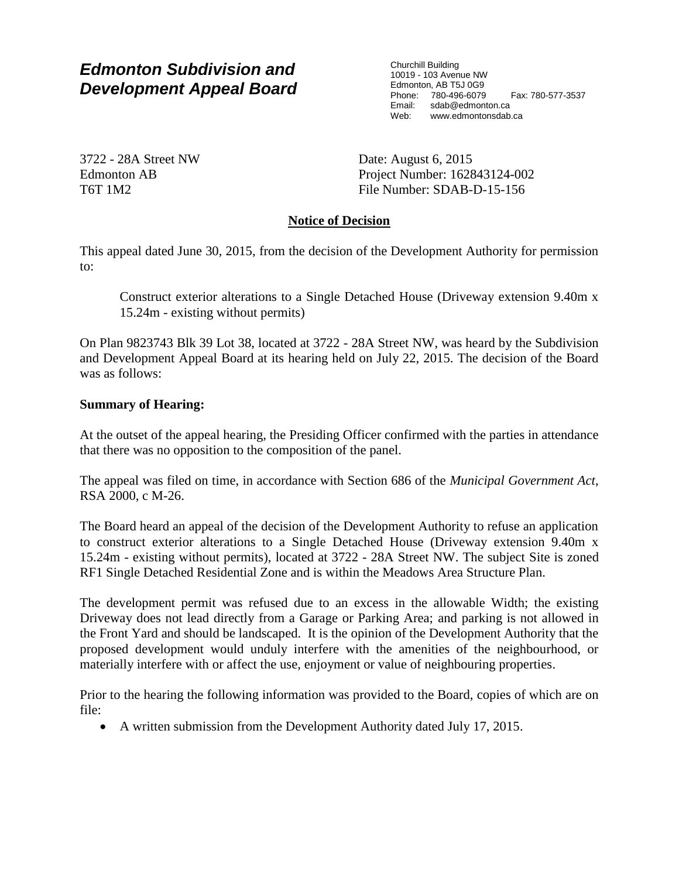Churchill Building 10019 - 103 Avenue NW Edmonton, AB T5J 0G9 Phone: 780-496-6079 Fax: 780-577-3537<br>Email: sdab@edmonton.ca sdab@edmonton.ca Web: www.edmontonsdab.ca

3722 - 28A Street NW Edmonton AB T6T 1M2

Date: August 6, 2015 Project Number: 162843124-002 File Number: SDAB-D-15-156

## **Notice of Decision**

This appeal dated June 30, 2015, from the decision of the Development Authority for permission to:

Construct exterior alterations to a Single Detached House (Driveway extension 9.40m x 15.24m - existing without permits)

On Plan 9823743 Blk 39 Lot 38, located at 3722 - 28A Street NW, was heard by the Subdivision and Development Appeal Board at its hearing held on July 22, 2015. The decision of the Board was as follows:

## **Summary of Hearing:**

At the outset of the appeal hearing, the Presiding Officer confirmed with the parties in attendance that there was no opposition to the composition of the panel.

The appeal was filed on time, in accordance with Section 686 of the *Municipal Government Act*, RSA 2000, c M-26.

The Board heard an appeal of the decision of the Development Authority to refuse an application to construct exterior alterations to a Single Detached House (Driveway extension 9.40m x 15.24m - existing without permits), located at 3722 - 28A Street NW. The subject Site is zoned RF1 Single Detached Residential Zone and is within the Meadows Area Structure Plan.

The development permit was refused due to an excess in the allowable Width; the existing Driveway does not lead directly from a Garage or Parking Area; and parking is not allowed in the Front Yard and should be landscaped. It is the opinion of the Development Authority that the proposed development would unduly interfere with the amenities of the neighbourhood, or materially interfere with or affect the use, enjoyment or value of neighbouring properties.

Prior to the hearing the following information was provided to the Board, copies of which are on file:

A written submission from the Development Authority dated July 17, 2015.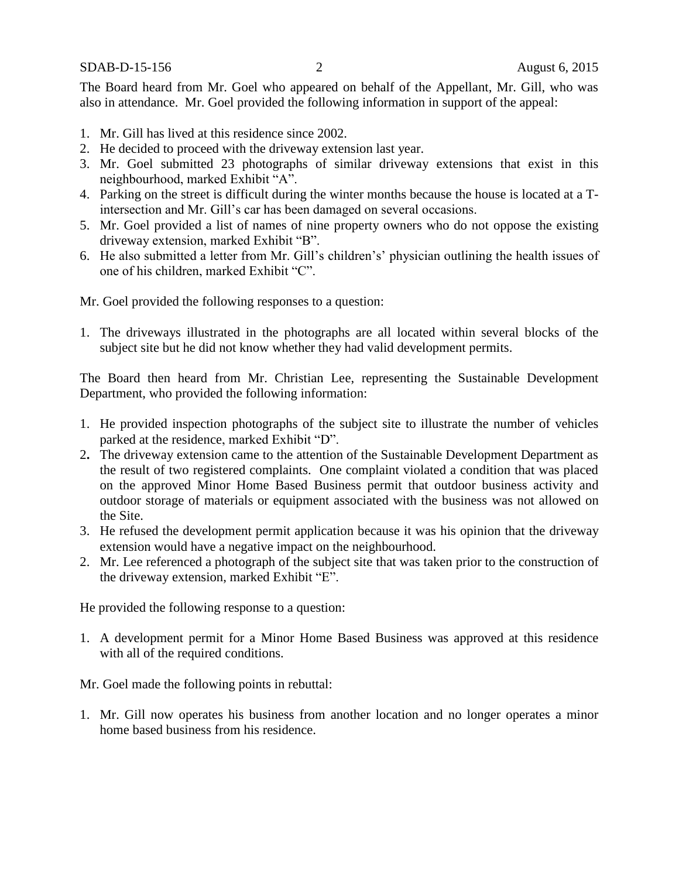The Board heard from Mr. Goel who appeared on behalf of the Appellant, Mr. Gill, who was also in attendance. Mr. Goel provided the following information in support of the appeal:

- 1. Mr. Gill has lived at this residence since 2002.
- 2. He decided to proceed with the driveway extension last year.
- 3. Mr. Goel submitted 23 photographs of similar driveway extensions that exist in this neighbourhood, marked Exhibit "A".
- 4. Parking on the street is difficult during the winter months because the house is located at a Tintersection and Mr. Gill's car has been damaged on several occasions.
- 5. Mr. Goel provided a list of names of nine property owners who do not oppose the existing driveway extension, marked Exhibit "B".
- 6. He also submitted a letter from Mr. Gill's children's' physician outlining the health issues of one of his children, marked Exhibit "C".

Mr. Goel provided the following responses to a question:

1. The driveways illustrated in the photographs are all located within several blocks of the subject site but he did not know whether they had valid development permits.

The Board then heard from Mr. Christian Lee, representing the Sustainable Development Department, who provided the following information:

- 1. He provided inspection photographs of the subject site to illustrate the number of vehicles parked at the residence, marked Exhibit "D".
- 2**.** The driveway extension came to the attention of the Sustainable Development Department as the result of two registered complaints. One complaint violated a condition that was placed on the approved Minor Home Based Business permit that outdoor business activity and outdoor storage of materials or equipment associated with the business was not allowed on the Site.
- 3. He refused the development permit application because it was his opinion that the driveway extension would have a negative impact on the neighbourhood.
- 2. Mr. Lee referenced a photograph of the subject site that was taken prior to the construction of the driveway extension, marked Exhibit "E".

He provided the following response to a question:

1. A development permit for a Minor Home Based Business was approved at this residence with all of the required conditions.

Mr. Goel made the following points in rebuttal:

1. Mr. Gill now operates his business from another location and no longer operates a minor home based business from his residence.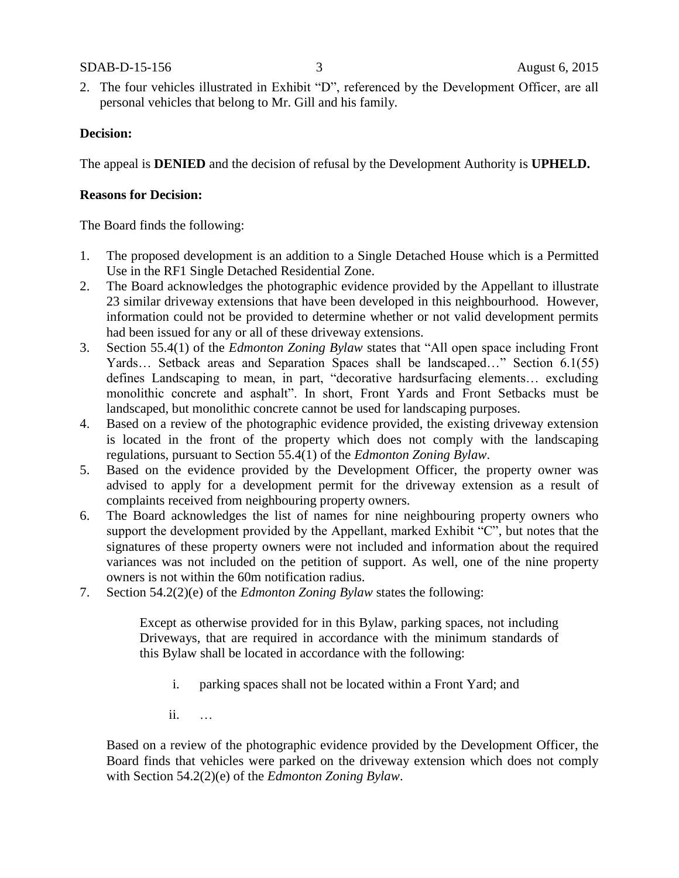#### SDAB-D-15-156 3 August 6, 2015

2. The four vehicles illustrated in Exhibit "D", referenced by the Development Officer, are all personal vehicles that belong to Mr. Gill and his family.

## **Decision:**

The appeal is **DENIED** and the decision of refusal by the Development Authority is **UPHELD.**

## **Reasons for Decision:**

The Board finds the following:

- 1. The proposed development is an addition to a Single Detached House which is a Permitted Use in the RF1 Single Detached Residential Zone.
- 2. The Board acknowledges the photographic evidence provided by the Appellant to illustrate 23 similar driveway extensions that have been developed in this neighbourhood. However, information could not be provided to determine whether or not valid development permits had been issued for any or all of these driveway extensions.
- 3. Section 55.4(1) of the *Edmonton Zoning Bylaw* states that "All open space including Front Yards… Setback areas and Separation Spaces shall be landscaped…" Section 6.1(55) defines Landscaping to mean, in part, "decorative hardsurfacing elements… excluding monolithic concrete and asphalt". In short, Front Yards and Front Setbacks must be landscaped, but monolithic concrete cannot be used for landscaping purposes.
- 4. Based on a review of the photographic evidence provided, the existing driveway extension is located in the front of the property which does not comply with the landscaping regulations, pursuant to Section 55.4(1) of the *Edmonton Zoning Bylaw*.
- 5. Based on the evidence provided by the Development Officer, the property owner was advised to apply for a development permit for the driveway extension as a result of complaints received from neighbouring property owners.
- 6. The Board acknowledges the list of names for nine neighbouring property owners who support the development provided by the Appellant, marked Exhibit "C", but notes that the signatures of these property owners were not included and information about the required variances was not included on the petition of support. As well, one of the nine property owners is not within the 60m notification radius.
- 7. Section 54.2(2)(e) of the *Edmonton Zoning Bylaw* states the following:

Except as otherwise provided for in this Bylaw, parking spaces, not including Driveways, that are required in accordance with the minimum standards of this Bylaw shall be located in accordance with the following:

- i. parking spaces shall not be located within a Front Yard; and
- ii. …

Based on a review of the photographic evidence provided by the Development Officer, the Board finds that vehicles were parked on the driveway extension which does not comply with Section 54.2(2)(e) of the *Edmonton Zoning Bylaw*.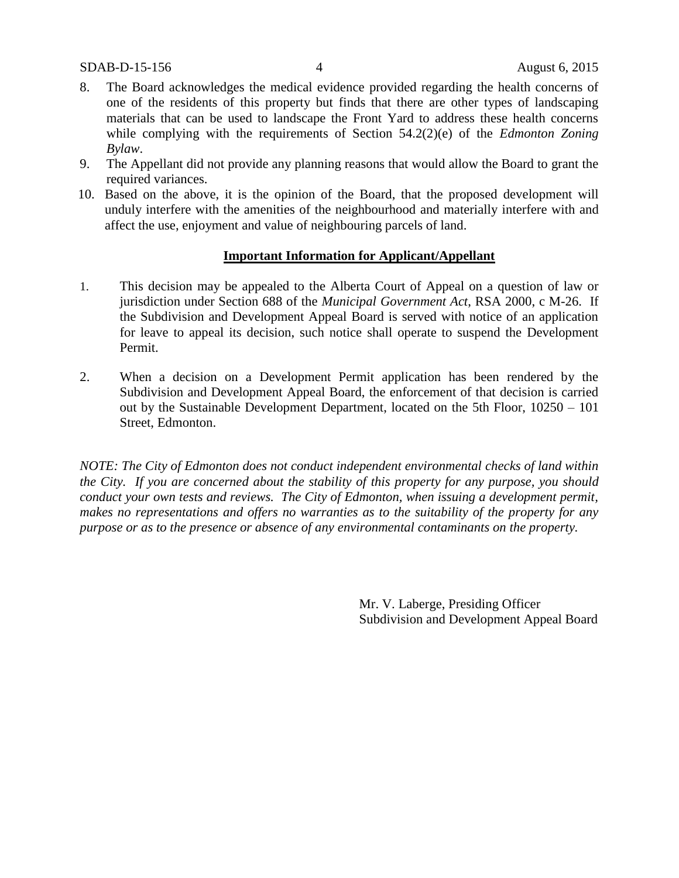- 8. The Board acknowledges the medical evidence provided regarding the health concerns of one of the residents of this property but finds that there are other types of landscaping materials that can be used to landscape the Front Yard to address these health concerns while complying with the requirements of Section 54.2(2)(e) of the *Edmonton Zoning Bylaw*.
- 9. The Appellant did not provide any planning reasons that would allow the Board to grant the required variances.
- 10. Based on the above, it is the opinion of the Board, that the proposed development will unduly interfere with the amenities of the neighbourhood and materially interfere with and affect the use, enjoyment and value of neighbouring parcels of land.

### **Important Information for Applicant/Appellant**

- 1. This decision may be appealed to the Alberta Court of Appeal on a question of law or jurisdiction under Section 688 of the *Municipal Government Act*, RSA 2000, c M-26. If the Subdivision and Development Appeal Board is served with notice of an application for leave to appeal its decision, such notice shall operate to suspend the Development Permit.
- 2. When a decision on a Development Permit application has been rendered by the Subdivision and Development Appeal Board, the enforcement of that decision is carried out by the Sustainable Development Department, located on the 5th Floor, 10250 – 101 Street, Edmonton.

*NOTE: The City of Edmonton does not conduct independent environmental checks of land within the City. If you are concerned about the stability of this property for any purpose, you should conduct your own tests and reviews. The City of Edmonton, when issuing a development permit, makes no representations and offers no warranties as to the suitability of the property for any purpose or as to the presence or absence of any environmental contaminants on the property.*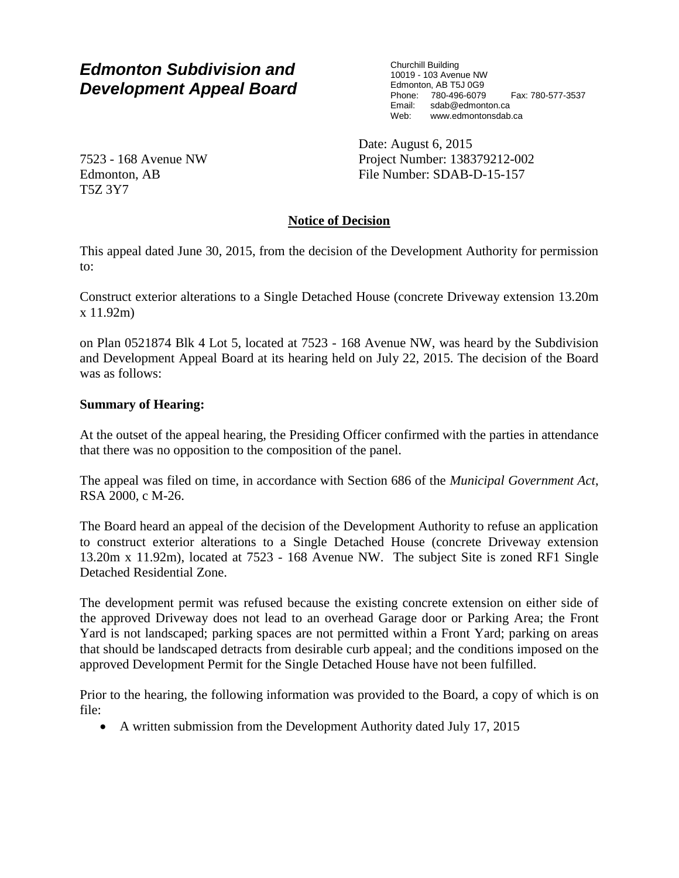Churchill Building 10019 - 103 Avenue NW Edmonton, AB T5J 0G9 Phone: 780-496-6079 Fax: 780-577-3537<br>Email: sdab@edmonton.ca sdab@edmonton.ca Web: www.edmontonsdab.ca

7523 - 168 Avenue NW Edmonton, AB T5Z 3Y7

Date: August 6, 2015 Project Number: 138379212-002 File Number: SDAB-D-15-157

# **Notice of Decision**

This appeal dated June 30, 2015, from the decision of the Development Authority for permission to:

Construct exterior alterations to a Single Detached House (concrete Driveway extension 13.20m x 11.92m)

on Plan 0521874 Blk 4 Lot 5, located at 7523 - 168 Avenue NW, was heard by the Subdivision and Development Appeal Board at its hearing held on July 22, 2015. The decision of the Board was as follows:

## **Summary of Hearing:**

At the outset of the appeal hearing, the Presiding Officer confirmed with the parties in attendance that there was no opposition to the composition of the panel.

The appeal was filed on time, in accordance with Section 686 of the *Municipal Government Act*, RSA 2000, c M-26.

The Board heard an appeal of the decision of the Development Authority to refuse an application to construct exterior alterations to a Single Detached House (concrete Driveway extension 13.20m x 11.92m), located at 7523 - 168 Avenue NW. The subject Site is zoned RF1 Single Detached Residential Zone.

The development permit was refused because the existing concrete extension on either side of the approved Driveway does not lead to an overhead Garage door or Parking Area; the Front Yard is not landscaped; parking spaces are not permitted within a Front Yard; parking on areas that should be landscaped detracts from desirable curb appeal; and the conditions imposed on the approved Development Permit for the Single Detached House have not been fulfilled.

Prior to the hearing, the following information was provided to the Board, a copy of which is on file:

A written submission from the Development Authority dated July 17, 2015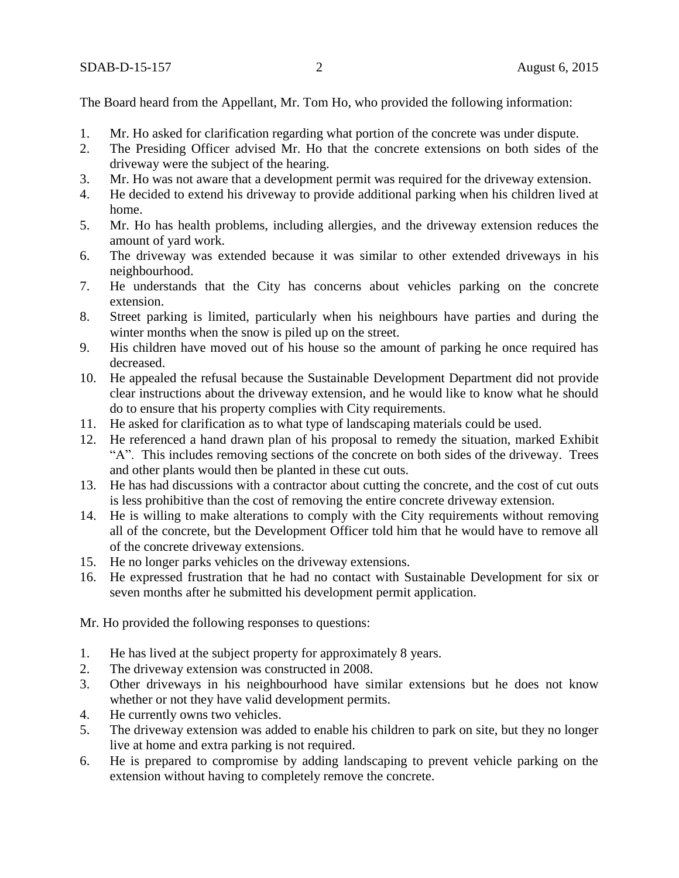The Board heard from the Appellant, Mr. Tom Ho, who provided the following information:

- 1. Mr. Ho asked for clarification regarding what portion of the concrete was under dispute.
- 2. The Presiding Officer advised Mr. Ho that the concrete extensions on both sides of the driveway were the subject of the hearing.
- 3. Mr. Ho was not aware that a development permit was required for the driveway extension.
- 4. He decided to extend his driveway to provide additional parking when his children lived at home.
- 5. Mr. Ho has health problems, including allergies, and the driveway extension reduces the amount of yard work.
- 6. The driveway was extended because it was similar to other extended driveways in his neighbourhood.
- 7. He understands that the City has concerns about vehicles parking on the concrete extension.
- 8. Street parking is limited, particularly when his neighbours have parties and during the winter months when the snow is piled up on the street.
- 9. His children have moved out of his house so the amount of parking he once required has decreased.
- 10. He appealed the refusal because the Sustainable Development Department did not provide clear instructions about the driveway extension, and he would like to know what he should do to ensure that his property complies with City requirements.
- 11. He asked for clarification as to what type of landscaping materials could be used.
- 12. He referenced a hand drawn plan of his proposal to remedy the situation, marked Exhibit "A". This includes removing sections of the concrete on both sides of the driveway. Trees and other plants would then be planted in these cut outs.
- 13. He has had discussions with a contractor about cutting the concrete, and the cost of cut outs is less prohibitive than the cost of removing the entire concrete driveway extension.
- 14. He is willing to make alterations to comply with the City requirements without removing all of the concrete, but the Development Officer told him that he would have to remove all of the concrete driveway extensions.
- 15. He no longer parks vehicles on the driveway extensions.
- 16. He expressed frustration that he had no contact with Sustainable Development for six or seven months after he submitted his development permit application.

Mr. Ho provided the following responses to questions:

- 1. He has lived at the subject property for approximately 8 years.
- 2. The driveway extension was constructed in 2008.
- 3. Other driveways in his neighbourhood have similar extensions but he does not know whether or not they have valid development permits.
- 4. He currently owns two vehicles.
- 5. The driveway extension was added to enable his children to park on site, but they no longer live at home and extra parking is not required.
- 6. He is prepared to compromise by adding landscaping to prevent vehicle parking on the extension without having to completely remove the concrete.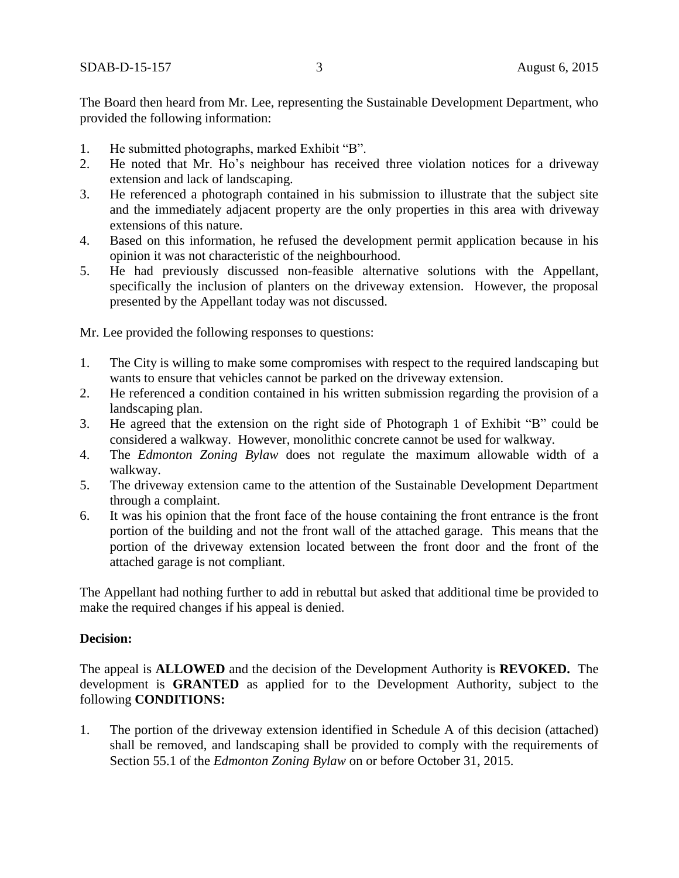The Board then heard from Mr. Lee, representing the Sustainable Development Department, who provided the following information:

- 1. He submitted photographs, marked Exhibit "B".
- 2. He noted that Mr. Ho's neighbour has received three violation notices for a driveway extension and lack of landscaping.
- 3. He referenced a photograph contained in his submission to illustrate that the subject site and the immediately adjacent property are the only properties in this area with driveway extensions of this nature.
- 4. Based on this information, he refused the development permit application because in his opinion it was not characteristic of the neighbourhood.
- 5. He had previously discussed non-feasible alternative solutions with the Appellant, specifically the inclusion of planters on the driveway extension. However, the proposal presented by the Appellant today was not discussed.

Mr. Lee provided the following responses to questions:

- 1. The City is willing to make some compromises with respect to the required landscaping but wants to ensure that vehicles cannot be parked on the driveway extension.
- 2. He referenced a condition contained in his written submission regarding the provision of a landscaping plan.
- 3. He agreed that the extension on the right side of Photograph 1 of Exhibit "B" could be considered a walkway. However, monolithic concrete cannot be used for walkway.
- 4. The *Edmonton Zoning Bylaw* does not regulate the maximum allowable width of a walkway.
- 5. The driveway extension came to the attention of the Sustainable Development Department through a complaint.
- 6. It was his opinion that the front face of the house containing the front entrance is the front portion of the building and not the front wall of the attached garage. This means that the portion of the driveway extension located between the front door and the front of the attached garage is not compliant.

The Appellant had nothing further to add in rebuttal but asked that additional time be provided to make the required changes if his appeal is denied.

## **Decision:**

The appeal is **ALLOWED** and the decision of the Development Authority is **REVOKED.** The development is **GRANTED** as applied for to the Development Authority, subject to the following **CONDITIONS:**

1. The portion of the driveway extension identified in Schedule A of this decision (attached) shall be removed, and landscaping shall be provided to comply with the requirements of Section 55.1 of the *Edmonton Zoning Bylaw* on or before October 31, 2015.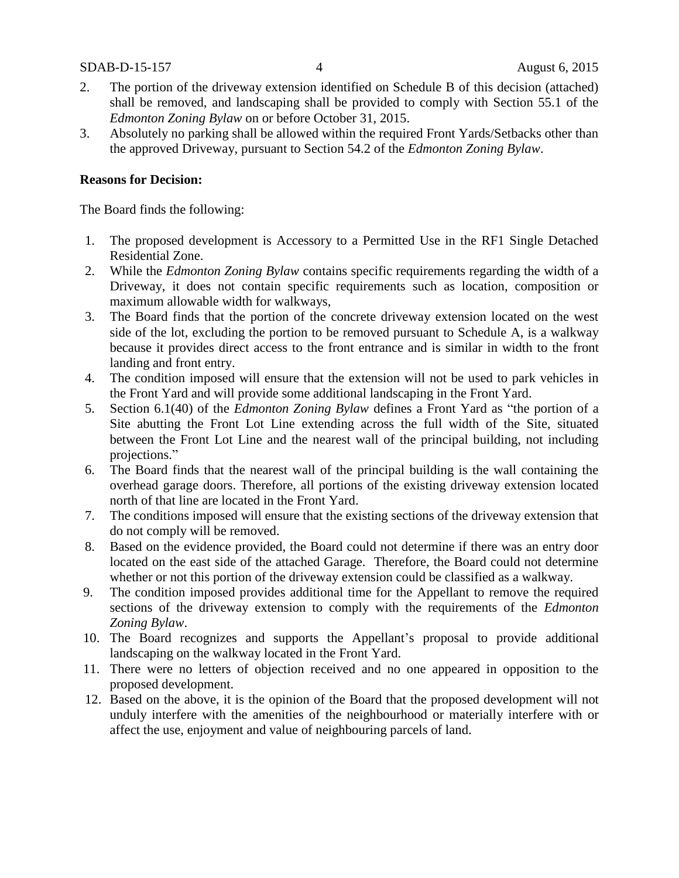- 2. The portion of the driveway extension identified on Schedule B of this decision (attached) shall be removed, and landscaping shall be provided to comply with Section 55.1 of the *Edmonton Zoning Bylaw* on or before October 31, 2015.
- 3. Absolutely no parking shall be allowed within the required Front Yards/Setbacks other than the approved Driveway, pursuant to Section 54.2 of the *Edmonton Zoning Bylaw*.

### **Reasons for Decision:**

The Board finds the following:

- 1. The proposed development is Accessory to a Permitted Use in the RF1 Single Detached Residential Zone.
- 2. While the *Edmonton Zoning Bylaw* contains specific requirements regarding the width of a Driveway, it does not contain specific requirements such as location, composition or maximum allowable width for walkways,
- 3. The Board finds that the portion of the concrete driveway extension located on the west side of the lot, excluding the portion to be removed pursuant to Schedule A, is a walkway because it provides direct access to the front entrance and is similar in width to the front landing and front entry.
- 4. The condition imposed will ensure that the extension will not be used to park vehicles in the Front Yard and will provide some additional landscaping in the Front Yard.
- 5. Section 6.1(40) of the *Edmonton Zoning Bylaw* defines a Front Yard as "the portion of a Site abutting the Front Lot Line extending across the full width of the Site, situated between the Front Lot Line and the nearest wall of the principal building, not including projections."
- 6. The Board finds that the nearest wall of the principal building is the wall containing the overhead garage doors. Therefore, all portions of the existing driveway extension located north of that line are located in the Front Yard.
- 7. The conditions imposed will ensure that the existing sections of the driveway extension that do not comply will be removed.
- 8. Based on the evidence provided, the Board could not determine if there was an entry door located on the east side of the attached Garage. Therefore, the Board could not determine whether or not this portion of the driveway extension could be classified as a walkway.
- 9. The condition imposed provides additional time for the Appellant to remove the required sections of the driveway extension to comply with the requirements of the *Edmonton Zoning Bylaw*.
- 10. The Board recognizes and supports the Appellant's proposal to provide additional landscaping on the walkway located in the Front Yard.
- 11. There were no letters of objection received and no one appeared in opposition to the proposed development.
- 12. Based on the above, it is the opinion of the Board that the proposed development will not unduly interfere with the amenities of the neighbourhood or materially interfere with or affect the use, enjoyment and value of neighbouring parcels of land.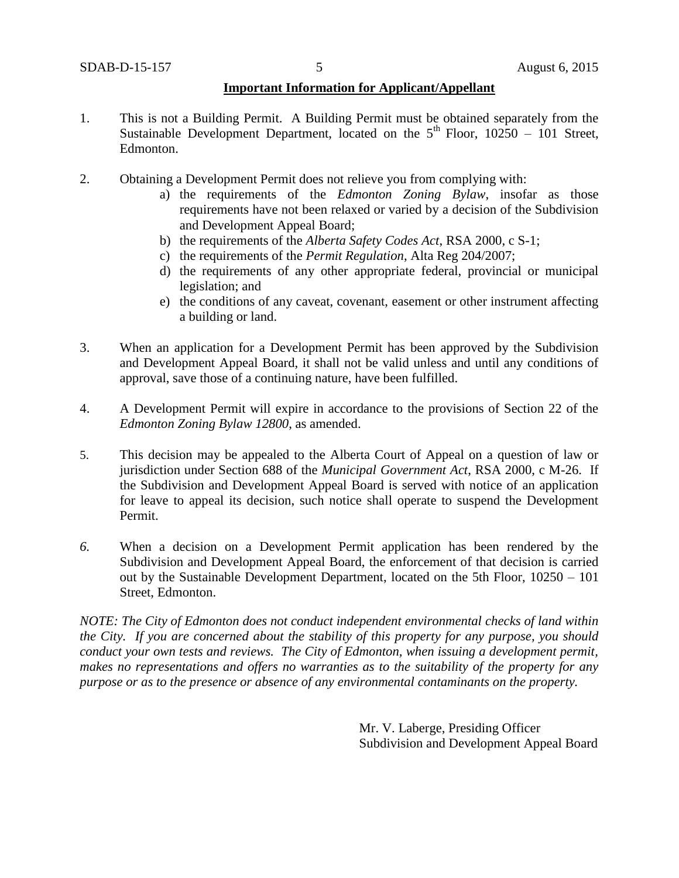## **Important Information for Applicant/Appellant**

- 1. This is not a Building Permit. A Building Permit must be obtained separately from the Sustainable Development Department, located on the  $5<sup>th</sup>$  Floor, 10250 – 101 Street, Edmonton.
- 2. Obtaining a Development Permit does not relieve you from complying with:
	- a) the requirements of the *Edmonton Zoning Bylaw*, insofar as those requirements have not been relaxed or varied by a decision of the Subdivision and Development Appeal Board;
	- b) the requirements of the *Alberta Safety Codes Act*, RSA 2000, c S-1;
	- c) the requirements of the *Permit Regulation*, Alta Reg 204/2007;
	- d) the requirements of any other appropriate federal, provincial or municipal legislation; and
	- e) the conditions of any caveat, covenant, easement or other instrument affecting a building or land.
- 3. When an application for a Development Permit has been approved by the Subdivision and Development Appeal Board, it shall not be valid unless and until any conditions of approval, save those of a continuing nature, have been fulfilled.
- 4. A Development Permit will expire in accordance to the provisions of Section 22 of the *Edmonton Zoning Bylaw 12800*, as amended.
- 5. This decision may be appealed to the Alberta Court of Appeal on a question of law or jurisdiction under Section 688 of the *Municipal Government Act*, RSA 2000, c M-26. If the Subdivision and Development Appeal Board is served with notice of an application for leave to appeal its decision, such notice shall operate to suspend the Development Permit.
- *6.* When a decision on a Development Permit application has been rendered by the Subdivision and Development Appeal Board, the enforcement of that decision is carried out by the Sustainable Development Department, located on the 5th Floor, 10250 – 101 Street, Edmonton.

*NOTE: The City of Edmonton does not conduct independent environmental checks of land within the City. If you are concerned about the stability of this property for any purpose, you should conduct your own tests and reviews. The City of Edmonton, when issuing a development permit, makes no representations and offers no warranties as to the suitability of the property for any purpose or as to the presence or absence of any environmental contaminants on the property.*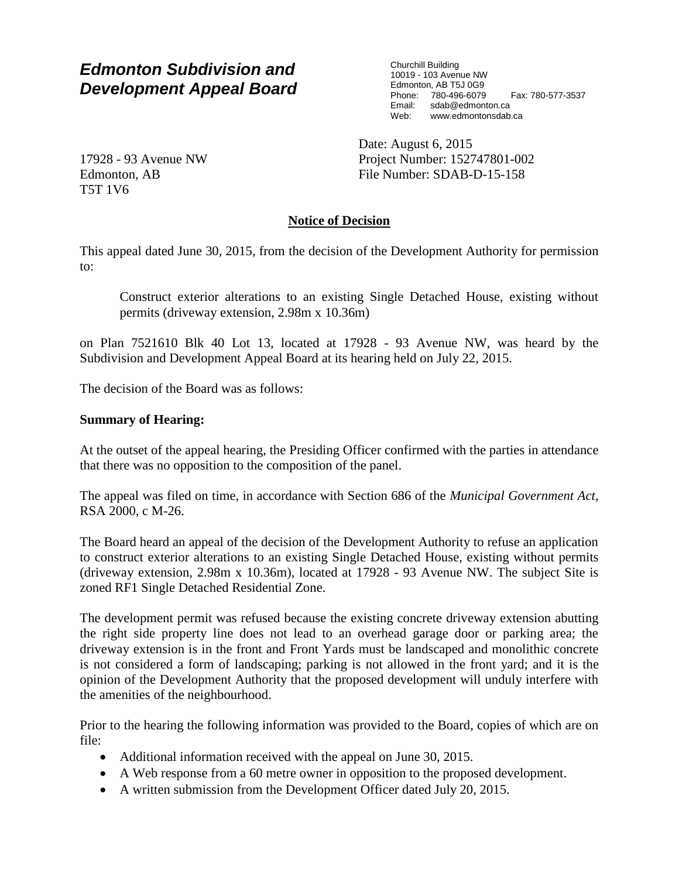Churchill Building 10019 - 103 Avenue NW Edmonton, AB T5J 0G9 Phone: 780-496-6079 Fax: 780-577-3537<br>Email: sdab@edmonton.ca sdab@edmonton.ca Web: www.edmontonsdab.ca

17928 - 93 Avenue NW Edmonton, AB T5T 1V6

Date: August 6, 2015 Project Number: 152747801-002 File Number: SDAB-D-15-158

## **Notice of Decision**

This appeal dated June 30, 2015, from the decision of the Development Authority for permission to:

Construct exterior alterations to an existing Single Detached House, existing without permits (driveway extension, 2.98m x 10.36m)

on Plan 7521610 Blk 40 Lot 13, located at 17928 - 93 Avenue NW, was heard by the Subdivision and Development Appeal Board at its hearing held on July 22, 2015.

The decision of the Board was as follows:

### **Summary of Hearing:**

At the outset of the appeal hearing, the Presiding Officer confirmed with the parties in attendance that there was no opposition to the composition of the panel.

The appeal was filed on time, in accordance with Section 686 of the *Municipal Government Act*, RSA 2000, c M-26.

The Board heard an appeal of the decision of the Development Authority to refuse an application to construct exterior alterations to an existing Single Detached House, existing without permits (driveway extension, 2.98m x 10.36m), located at 17928 - 93 Avenue NW. The subject Site is zoned RF1 Single Detached Residential Zone.

The development permit was refused because the existing concrete driveway extension abutting the right side property line does not lead to an overhead garage door or parking area; the driveway extension is in the front and Front Yards must be landscaped and monolithic concrete is not considered a form of landscaping; parking is not allowed in the front yard; and it is the opinion of the Development Authority that the proposed development will unduly interfere with the amenities of the neighbourhood.

Prior to the hearing the following information was provided to the Board, copies of which are on file:

- Additional information received with the appeal on June 30, 2015.
- A Web response from a 60 metre owner in opposition to the proposed development.
- A written submission from the Development Officer dated July 20, 2015.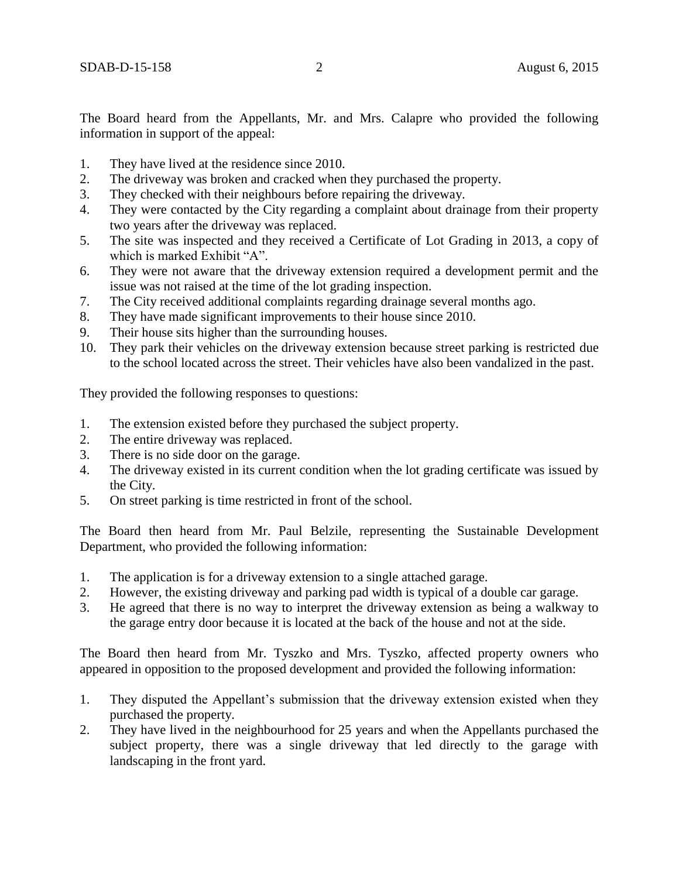The Board heard from the Appellants, Mr. and Mrs. Calapre who provided the following information in support of the appeal:

- 1. They have lived at the residence since 2010.
- 2. The driveway was broken and cracked when they purchased the property.
- 3. They checked with their neighbours before repairing the driveway.
- 4. They were contacted by the City regarding a complaint about drainage from their property two years after the driveway was replaced.
- 5. The site was inspected and they received a Certificate of Lot Grading in 2013, a copy of which is marked Exhibit "A".
- 6. They were not aware that the driveway extension required a development permit and the issue was not raised at the time of the lot grading inspection.
- 7. The City received additional complaints regarding drainage several months ago.
- 8. They have made significant improvements to their house since 2010.
- 9. Their house sits higher than the surrounding houses.
- 10. They park their vehicles on the driveway extension because street parking is restricted due to the school located across the street. Their vehicles have also been vandalized in the past.

They provided the following responses to questions:

- 1. The extension existed before they purchased the subject property.
- 2. The entire driveway was replaced.
- 3. There is no side door on the garage.
- 4. The driveway existed in its current condition when the lot grading certificate was issued by the City.
- 5. On street parking is time restricted in front of the school.

The Board then heard from Mr. Paul Belzile, representing the Sustainable Development Department, who provided the following information:

- 1. The application is for a driveway extension to a single attached garage.
- 2. However, the existing driveway and parking pad width is typical of a double car garage.
- 3. He agreed that there is no way to interpret the driveway extension as being a walkway to the garage entry door because it is located at the back of the house and not at the side.

The Board then heard from Mr. Tyszko and Mrs. Tyszko, affected property owners who appeared in opposition to the proposed development and provided the following information:

- 1. They disputed the Appellant's submission that the driveway extension existed when they purchased the property.
- 2. They have lived in the neighbourhood for 25 years and when the Appellants purchased the subject property, there was a single driveway that led directly to the garage with landscaping in the front yard.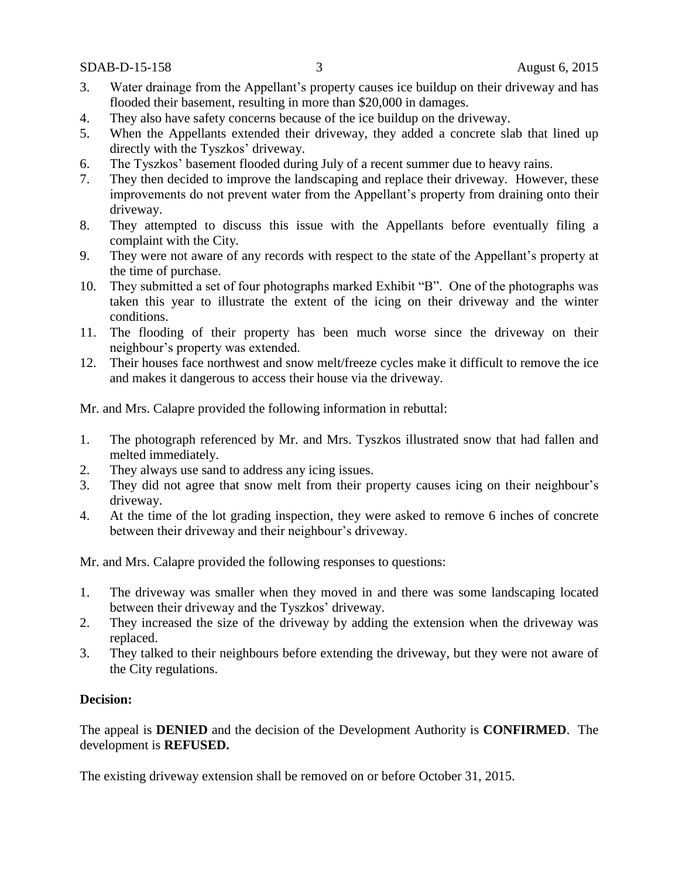SDAB-D-15-158 3 August 6, 2015

- 3. Water drainage from the Appellant's property causes ice buildup on their driveway and has flooded their basement, resulting in more than \$20,000 in damages.
- 4. They also have safety concerns because of the ice buildup on the driveway.
- 5. When the Appellants extended their driveway, they added a concrete slab that lined up directly with the Tyszkos' driveway.
- 6. The Tyszkos' basement flooded during July of a recent summer due to heavy rains.
- 7. They then decided to improve the landscaping and replace their driveway. However, these improvements do not prevent water from the Appellant's property from draining onto their driveway.
- 8. They attempted to discuss this issue with the Appellants before eventually filing a complaint with the City.
- 9. They were not aware of any records with respect to the state of the Appellant's property at the time of purchase.
- 10. They submitted a set of four photographs marked Exhibit "B". One of the photographs was taken this year to illustrate the extent of the icing on their driveway and the winter conditions.
- 11. The flooding of their property has been much worse since the driveway on their neighbour's property was extended.
- 12. Their houses face northwest and snow melt/freeze cycles make it difficult to remove the ice and makes it dangerous to access their house via the driveway.

Mr. and Mrs. Calapre provided the following information in rebuttal:

- 1. The photograph referenced by Mr. and Mrs. Tyszkos illustrated snow that had fallen and melted immediately.
- 2. They always use sand to address any icing issues.
- 3. They did not agree that snow melt from their property causes icing on their neighbour's driveway.
- 4. At the time of the lot grading inspection, they were asked to remove 6 inches of concrete between their driveway and their neighbour's driveway.

Mr. and Mrs. Calapre provided the following responses to questions:

- 1. The driveway was smaller when they moved in and there was some landscaping located between their driveway and the Tyszkos' driveway.
- 2. They increased the size of the driveway by adding the extension when the driveway was replaced.
- 3. They talked to their neighbours before extending the driveway, but they were not aware of the City regulations.

## **Decision:**

The appeal is **DENIED** and the decision of the Development Authority is **CONFIRMED**. The development is **REFUSED.**

The existing driveway extension shall be removed on or before October 31, 2015.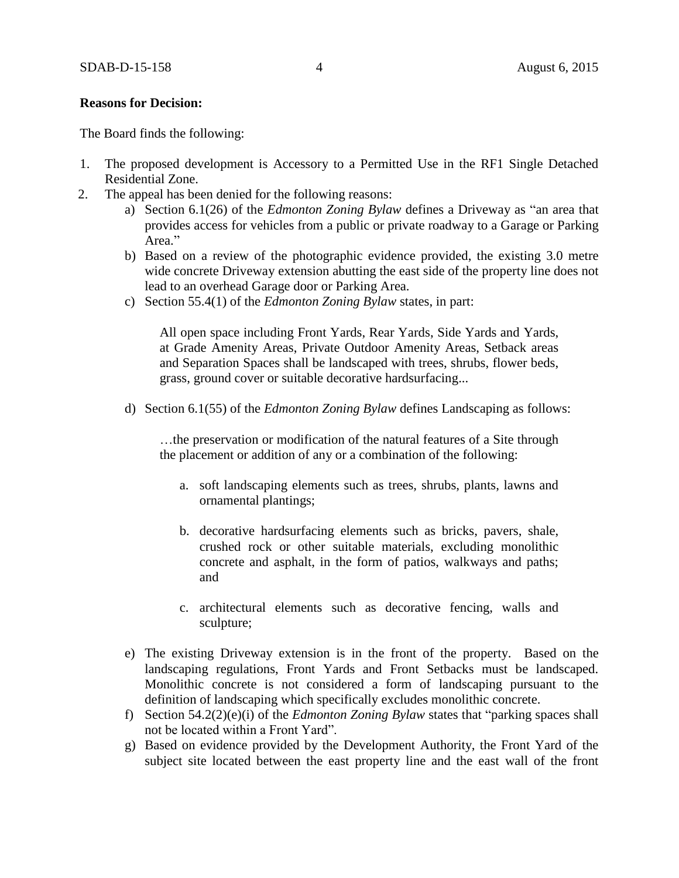#### **Reasons for Decision:**

The Board finds the following:

- 1. The proposed development is Accessory to a Permitted Use in the RF1 Single Detached Residential Zone.
- 2. The appeal has been denied for the following reasons:
	- a) Section 6.1(26) of the *Edmonton Zoning Bylaw* defines a Driveway as "an area that provides access for vehicles from a public or private roadway to a Garage or Parking Area."
	- b) Based on a review of the photographic evidence provided, the existing 3.0 metre wide concrete Driveway extension abutting the east side of the property line does not lead to an overhead Garage door or Parking Area.
	- c) Section 55.4(1) of the *Edmonton Zoning Bylaw* states, in part:

All open space including Front Yards, Rear Yards, Side Yards and Yards, at Grade Amenity Areas, Private Outdoor Amenity Areas, Setback areas and Separation Spaces shall be landscaped with trees, shrubs, flower beds, grass, ground cover or suitable decorative hardsurfacing...

d) Section 6.1(55) of the *Edmonton Zoning Bylaw* defines Landscaping as follows:

…the preservation or modification of the natural features of a Site through the placement or addition of any or a combination of the following:

- a. soft landscaping elements such as trees, shrubs, plants, lawns and ornamental plantings;
- b. decorative hardsurfacing elements such as bricks, pavers, shale, crushed rock or other suitable materials, excluding monolithic concrete and asphalt, in the form of patios, walkways and paths; and
- c. architectural elements such as decorative fencing, walls and sculpture;
- e) The existing Driveway extension is in the front of the property. Based on the landscaping regulations, Front Yards and Front Setbacks must be landscaped. Monolithic concrete is not considered a form of landscaping pursuant to the definition of landscaping which specifically excludes monolithic concrete.
- f) Section 54.2(2)(e)(i) of the *Edmonton Zoning Bylaw* states that "parking spaces shall not be located within a Front Yard".
- g) Based on evidence provided by the Development Authority, the Front Yard of the subject site located between the east property line and the east wall of the front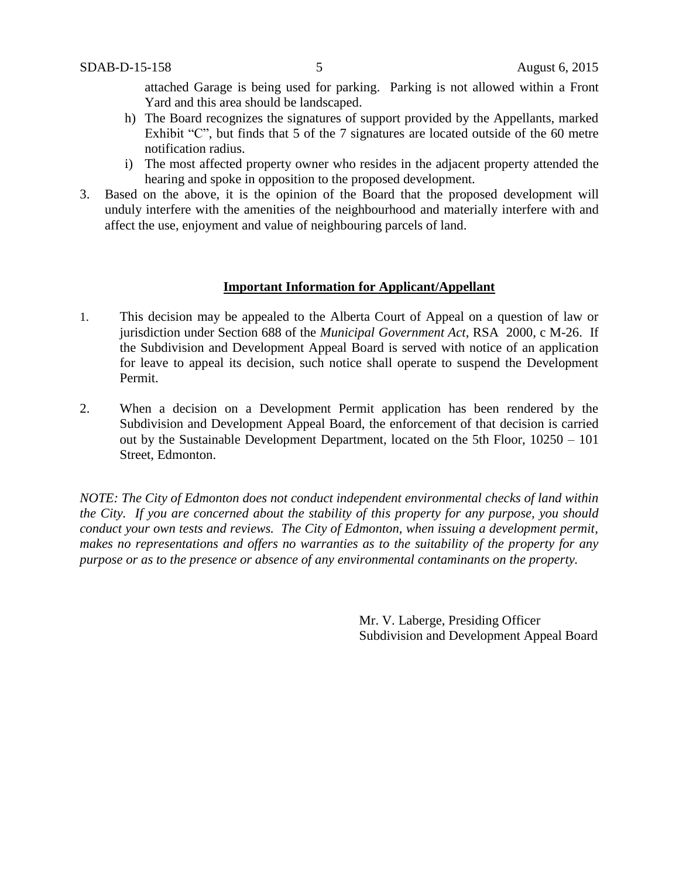attached Garage is being used for parking. Parking is not allowed within a Front Yard and this area should be landscaped.

- h) The Board recognizes the signatures of support provided by the Appellants, marked Exhibit "C", but finds that 5 of the 7 signatures are located outside of the 60 metre notification radius.
- i) The most affected property owner who resides in the adjacent property attended the hearing and spoke in opposition to the proposed development.
- 3. Based on the above, it is the opinion of the Board that the proposed development will unduly interfere with the amenities of the neighbourhood and materially interfere with and affect the use, enjoyment and value of neighbouring parcels of land.

## **Important Information for Applicant/Appellant**

- 1. This decision may be appealed to the Alberta Court of Appeal on a question of law or jurisdiction under Section 688 of the *Municipal Government Act*, RSA 2000, c M-26. If the Subdivision and Development Appeal Board is served with notice of an application for leave to appeal its decision, such notice shall operate to suspend the Development Permit.
- 2. When a decision on a Development Permit application has been rendered by the Subdivision and Development Appeal Board, the enforcement of that decision is carried out by the Sustainable Development Department, located on the 5th Floor, 10250 – 101 Street, Edmonton.

*NOTE: The City of Edmonton does not conduct independent environmental checks of land within the City. If you are concerned about the stability of this property for any purpose, you should conduct your own tests and reviews. The City of Edmonton, when issuing a development permit, makes no representations and offers no warranties as to the suitability of the property for any purpose or as to the presence or absence of any environmental contaminants on the property.*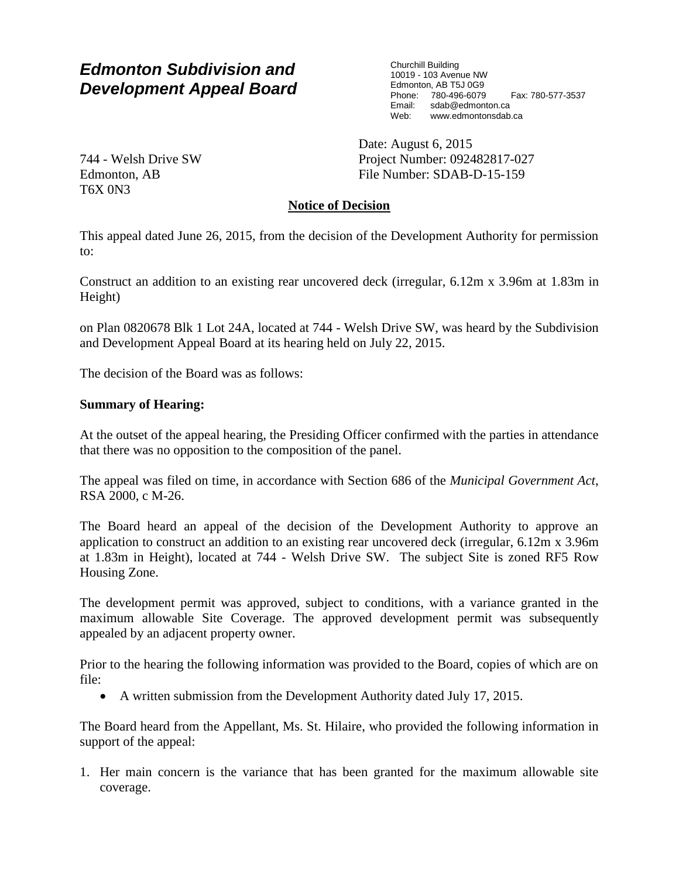Churchill Building 10019 - 103 Avenue NW Edmonton, AB T5J 0G9 Phone: 780-496-6079 Fax: 780-577-3537<br>Email: sdab@edmonton.ca sdab@edmonton.ca Web: www.edmontonsdab.ca

744 - Welsh Drive SW Edmonton, AB T6X 0N3

Date: August 6, 2015 Project Number: 092482817-027 File Number: SDAB-D-15-159

# **Notice of Decision**

This appeal dated June 26, 2015, from the decision of the Development Authority for permission to:

Construct an addition to an existing rear uncovered deck (irregular, 6.12m x 3.96m at 1.83m in Height)

on Plan 0820678 Blk 1 Lot 24A, located at 744 - Welsh Drive SW, was heard by the Subdivision and Development Appeal Board at its hearing held on July 22, 2015.

The decision of the Board was as follows:

## **Summary of Hearing:**

At the outset of the appeal hearing, the Presiding Officer confirmed with the parties in attendance that there was no opposition to the composition of the panel.

The appeal was filed on time, in accordance with Section 686 of the *Municipal Government Act*, RSA 2000, c M-26.

The Board heard an appeal of the decision of the Development Authority to approve an application to construct an addition to an existing rear uncovered deck (irregular, 6.12m x 3.96m at 1.83m in Height), located at 744 - Welsh Drive SW. The subject Site is zoned RF5 Row Housing Zone.

The development permit was approved, subject to conditions, with a variance granted in the maximum allowable Site Coverage. The approved development permit was subsequently appealed by an adjacent property owner.

Prior to the hearing the following information was provided to the Board, copies of which are on file:

A written submission from the Development Authority dated July 17, 2015.

The Board heard from the Appellant, Ms. St. Hilaire, who provided the following information in support of the appeal:

1. Her main concern is the variance that has been granted for the maximum allowable site coverage.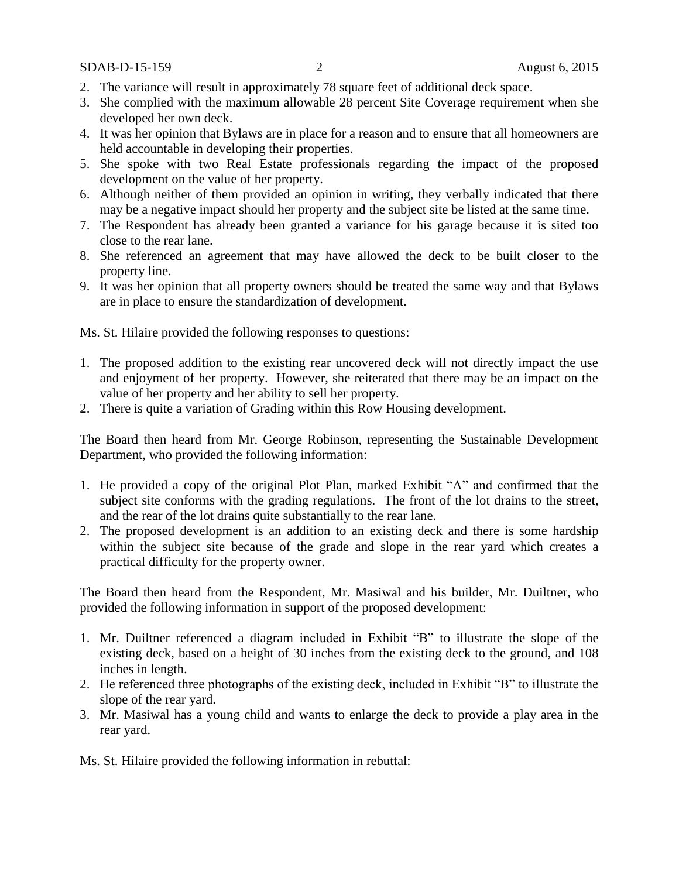SDAB-D-15-159 2 August 6, 2015

- 2. The variance will result in approximately 78 square feet of additional deck space.
- 3. She complied with the maximum allowable 28 percent Site Coverage requirement when she developed her own deck.
- 4. It was her opinion that Bylaws are in place for a reason and to ensure that all homeowners are held accountable in developing their properties.
- 5. She spoke with two Real Estate professionals regarding the impact of the proposed development on the value of her property.
- 6. Although neither of them provided an opinion in writing, they verbally indicated that there may be a negative impact should her property and the subject site be listed at the same time.
- 7. The Respondent has already been granted a variance for his garage because it is sited too close to the rear lane.
- 8. She referenced an agreement that may have allowed the deck to be built closer to the property line.
- 9. It was her opinion that all property owners should be treated the same way and that Bylaws are in place to ensure the standardization of development.

Ms. St. Hilaire provided the following responses to questions:

- 1. The proposed addition to the existing rear uncovered deck will not directly impact the use and enjoyment of her property. However, she reiterated that there may be an impact on the value of her property and her ability to sell her property.
- 2. There is quite a variation of Grading within this Row Housing development.

The Board then heard from Mr. George Robinson, representing the Sustainable Development Department, who provided the following information:

- 1. He provided a copy of the original Plot Plan, marked Exhibit "A" and confirmed that the subject site conforms with the grading regulations. The front of the lot drains to the street, and the rear of the lot drains quite substantially to the rear lane.
- 2. The proposed development is an addition to an existing deck and there is some hardship within the subject site because of the grade and slope in the rear yard which creates a practical difficulty for the property owner.

The Board then heard from the Respondent, Mr. Masiwal and his builder, Mr. Duiltner, who provided the following information in support of the proposed development:

- 1. Mr. Duiltner referenced a diagram included in Exhibit "B" to illustrate the slope of the existing deck, based on a height of 30 inches from the existing deck to the ground, and 108 inches in length.
- 2. He referenced three photographs of the existing deck, included in Exhibit "B" to illustrate the slope of the rear yard.
- 3. Mr. Masiwal has a young child and wants to enlarge the deck to provide a play area in the rear yard.

Ms. St. Hilaire provided the following information in rebuttal: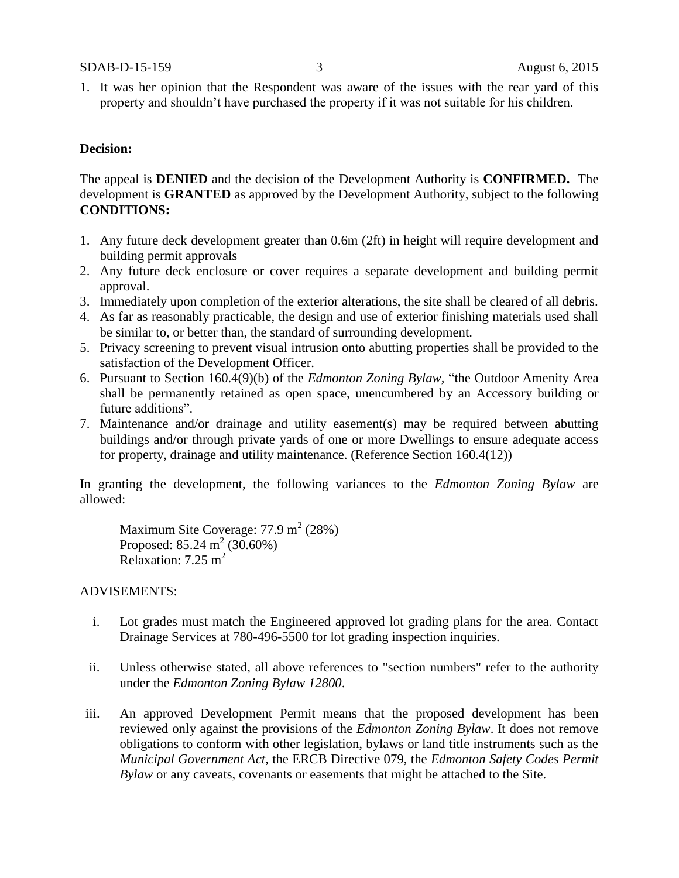1. It was her opinion that the Respondent was aware of the issues with the rear yard of this property and shouldn't have purchased the property if it was not suitable for his children.

### **Decision:**

The appeal is **DENIED** and the decision of the Development Authority is **CONFIRMED.** The development is **GRANTED** as approved by the Development Authority, subject to the following **CONDITIONS:**

- 1. Any future deck development greater than 0.6m (2ft) in height will require development and building permit approvals
- 2. Any future deck enclosure or cover requires a separate development and building permit approval.
- 3. Immediately upon completion of the exterior alterations, the site shall be cleared of all debris.
- 4. As far as reasonably practicable, the design and use of exterior finishing materials used shall be similar to, or better than, the standard of surrounding development.
- 5. Privacy screening to prevent visual intrusion onto abutting properties shall be provided to the satisfaction of the Development Officer.
- 6. Pursuant to Section 160.4(9)(b) of the *Edmonton Zoning Bylaw,* "the Outdoor Amenity Area shall be permanently retained as open space, unencumbered by an Accessory building or future additions".
- 7. Maintenance and/or drainage and utility easement(s) may be required between abutting buildings and/or through private yards of one or more Dwellings to ensure adequate access for property, drainage and utility maintenance. (Reference Section 160.4(12))

In granting the development, the following variances to the *Edmonton Zoning Bylaw* are allowed:

Maximum Site Coverage:  $77.9 \text{ m}^2$  (28%) Proposed:  $85.24 \text{ m}^2 (30.60\%)$ Relaxation:  $7.25 \text{ m}^2$ 

## ADVISEMENTS:

- i. Lot grades must match the Engineered approved lot grading plans for the area. Contact Drainage Services at 780-496-5500 for lot grading inspection inquiries.
- ii. Unless otherwise stated, all above references to "section numbers" refer to the authority under the *Edmonton Zoning Bylaw 12800*.
- iii. An approved Development Permit means that the proposed development has been reviewed only against the provisions of the *Edmonton Zoning Bylaw*. It does not remove obligations to conform with other legislation, bylaws or land title instruments such as the *Municipal Government Act*, the ERCB Directive 079, the *Edmonton Safety Codes Permit Bylaw* or any caveats, covenants or easements that might be attached to the Site.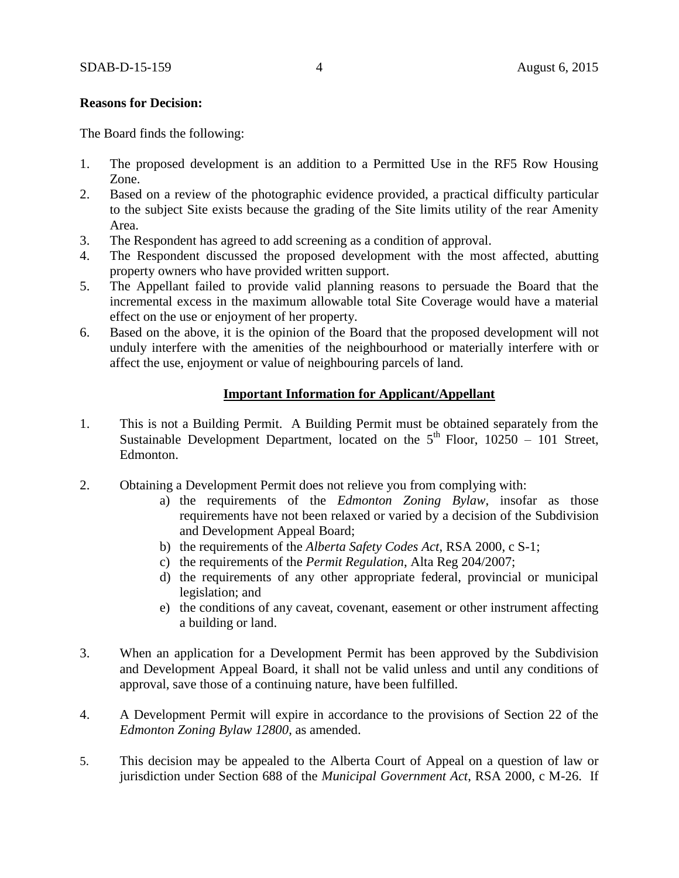### **Reasons for Decision:**

The Board finds the following:

- 1. The proposed development is an addition to a Permitted Use in the RF5 Row Housing Zone.
- 2. Based on a review of the photographic evidence provided, a practical difficulty particular to the subject Site exists because the grading of the Site limits utility of the rear Amenity Area.
- 3. The Respondent has agreed to add screening as a condition of approval.
- 4. The Respondent discussed the proposed development with the most affected, abutting property owners who have provided written support.
- 5. The Appellant failed to provide valid planning reasons to persuade the Board that the incremental excess in the maximum allowable total Site Coverage would have a material effect on the use or enjoyment of her property.
- 6. Based on the above, it is the opinion of the Board that the proposed development will not unduly interfere with the amenities of the neighbourhood or materially interfere with or affect the use, enjoyment or value of neighbouring parcels of land.

## **Important Information for Applicant/Appellant**

- 1. This is not a Building Permit. A Building Permit must be obtained separately from the Sustainable Development Department, located on the  $5<sup>th</sup>$  Floor, 10250 – 101 Street, Edmonton.
- 2. Obtaining a Development Permit does not relieve you from complying with:
	- a) the requirements of the *Edmonton Zoning Bylaw*, insofar as those requirements have not been relaxed or varied by a decision of the Subdivision and Development Appeal Board;
	- b) the requirements of the *Alberta Safety Codes Act*, RSA 2000, c S-1;
	- c) the requirements of the *Permit Regulation*, Alta Reg 204/2007;
	- d) the requirements of any other appropriate federal, provincial or municipal legislation; and
	- e) the conditions of any caveat, covenant, easement or other instrument affecting a building or land.
- 3. When an application for a Development Permit has been approved by the Subdivision and Development Appeal Board, it shall not be valid unless and until any conditions of approval, save those of a continuing nature, have been fulfilled.
- 4. A Development Permit will expire in accordance to the provisions of Section 22 of the *Edmonton Zoning Bylaw 12800*, as amended.
- 5. This decision may be appealed to the Alberta Court of Appeal on a question of law or jurisdiction under Section 688 of the *Municipal Government Act*, RSA 2000, c M-26. If